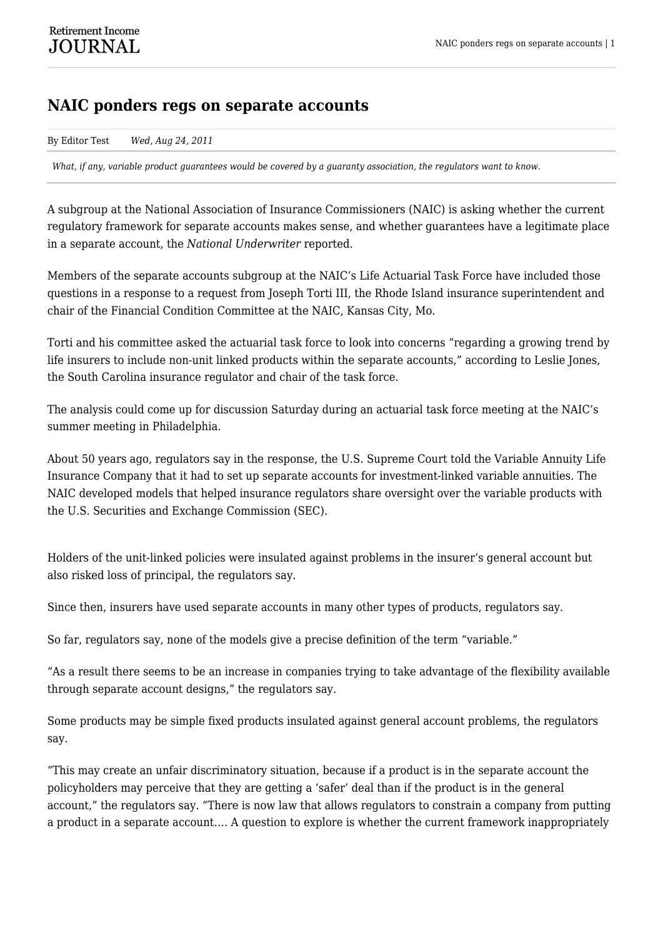## **NAIC ponders regs on separate accounts**

By Editor Test *Wed, Aug 24, 2011*

*What, if any, variable product guarantees would be covered by a guaranty association, the regulators want to know.*

A subgroup at the National Association of Insurance Commissioners (NAIC) is asking whether the current regulatory framework for separate accounts makes sense, and whether guarantees have a legitimate place in a separate account, the *National Underwriter* reported.

Members of the separate accounts subgroup at the NAIC's Life Actuarial Task Force have included those questions in a response to a request from Joseph Torti III, the Rhode Island insurance superintendent and chair of the Financial Condition Committee at the NAIC, Kansas City, Mo.

Torti and his committee asked the actuarial task force to look into concerns "regarding a growing trend by life insurers to include non-unit linked products within the separate accounts," according to Leslie Jones, the South Carolina insurance regulator and chair of the task force.

The analysis could come up for discussion Saturday during an actuarial task force meeting at the NAIC's summer meeting in Philadelphia.

About 50 years ago, regulators say in the response, the U.S. Supreme Court told the Variable Annuity Life Insurance Company that it had to set up separate accounts for investment-linked variable annuities. The NAIC developed models that helped insurance regulators share oversight over the variable products with the U.S. Securities and Exchange Commission (SEC).

Holders of the unit-linked policies were insulated against problems in the insurer's general account but also risked loss of principal, the regulators say.

Since then, insurers have used separate accounts in many other types of products, regulators say.

So far, regulators say, none of the models give a precise definition of the term "variable."

"As a result there seems to be an increase in companies trying to take advantage of the flexibility available through separate account designs," the regulators say.

Some products may be simple fixed products insulated against general account problems, the regulators say.

"This may create an unfair discriminatory situation, because if a product is in the separate account the policyholders may perceive that they are getting a 'safer' deal than if the product is in the general account," the regulators say. "There is now law that allows regulators to constrain a company from putting a product in a separate account…. A question to explore is whether the current framework inappropriately